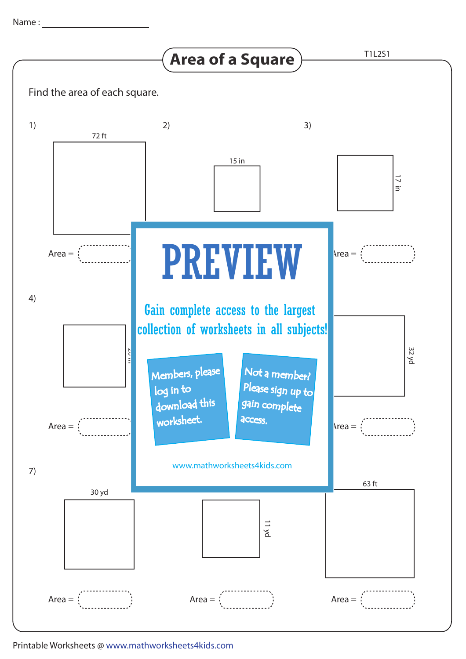